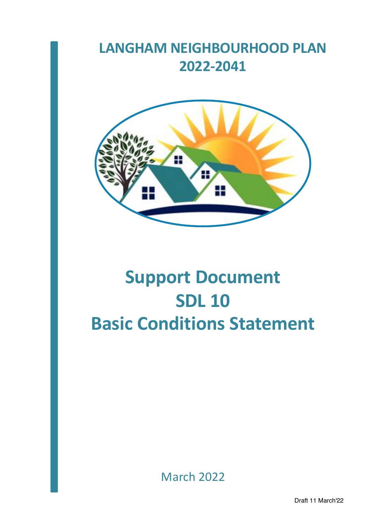# **LANGHAM NEIGHBOURHOOD PLAN 2022-2041**



# **Support Document SDL 10 Basic Conditions Statement**

March 2022

Draft 11 March'22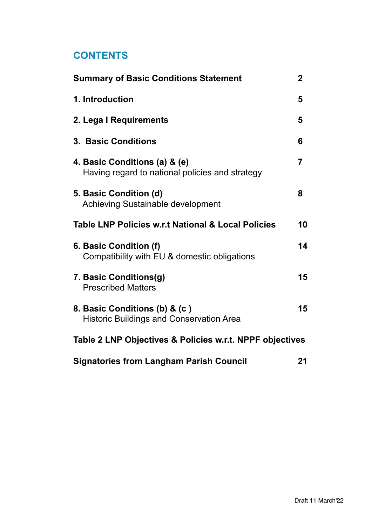# **CONTENTS**

| <b>Summary of Basic Conditions Statement</b>                                     | $\mathbf 2$    |
|----------------------------------------------------------------------------------|----------------|
| 1. Introduction                                                                  | 5              |
| 2. Lega I Requirements                                                           | 5              |
| <b>3. Basic Conditions</b>                                                       | 6              |
| 4. Basic Conditions (a) & (e)<br>Having regard to national policies and strategy | $\overline{7}$ |
| 5. Basic Condition (d)<br><b>Achieving Sustainable development</b>               | 8              |
| <b>Table LNP Policies w.r.t National &amp; Local Policies</b>                    | 10             |
| 6. Basic Condition (f)<br>Compatibility with EU & domestic obligations           | 14             |
| 7. Basic Conditions(g)<br><b>Prescribed Matters</b>                              | 15             |
| 8. Basic Conditions (b) & (c)<br><b>Historic Buildings and Conservation Area</b> | 15             |
| Table 2 LNP Objectives & Policies w.r.t. NPPF objectives                         |                |
| <b>Signatories from Langham Parish Council</b>                                   | 21             |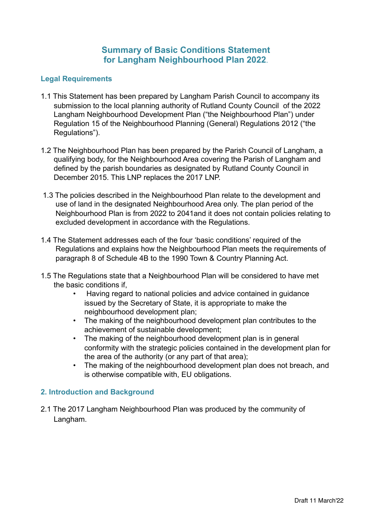#### **Summary of Basic Conditions Statement for Langham Neighbourhood Plan 2022**.

#### **Legal Requirements**

- 1.1 This Statement has been prepared by Langham Parish Council to accompany its submission to the local planning authority of Rutland County Council of the 2022 Langham Neighbourhood Development Plan ("the Neighbourhood Plan") under Regulation 15 of the Neighbourhood Planning (General) Regulations 2012 ("the Regulations").
- 1.2 The Neighbourhood Plan has been prepared by the Parish Council of Langham, a qualifying body, for the Neighbourhood Area covering the Parish of Langham and defined by the parish boundaries as designated by Rutland County Council in December 2015. This LNP replaces the 2017 LNP.
- 1.3 The policies described in the Neighbourhood Plan relate to the development and use of land in the designated Neighbourhood Area only. The plan period of the Neighbourhood Plan is from 2022 to 2041and it does not contain policies relating to excluded development in accordance with the Regulations.
- 1.4 The Statement addresses each of the four 'basic conditions' required of the Regulations and explains how the Neighbourhood Plan meets the requirements of paragraph 8 of Schedule 4B to the 1990 Town & Country Planning Act.
- 1.5 The Regulations state that a Neighbourhood Plan will be considered to have met the basic conditions if,
	- Having regard to national policies and advice contained in guidance issued by the Secretary of State, it is appropriate to make the neighbourhood development plan;
	- The making of the neighbourhood development plan contributes to the achievement of sustainable development;
	- The making of the neighbourhood development plan is in general conformity with the strategic policies contained in the development plan for the area of the authority (or any part of that area);
	- The making of the neighbourhood development plan does not breach, and is otherwise compatible with, EU obligations.

#### **2. Introduction and Background**

2.1 The 2017 Langham Neighbourhood Plan was produced by the community of Langham.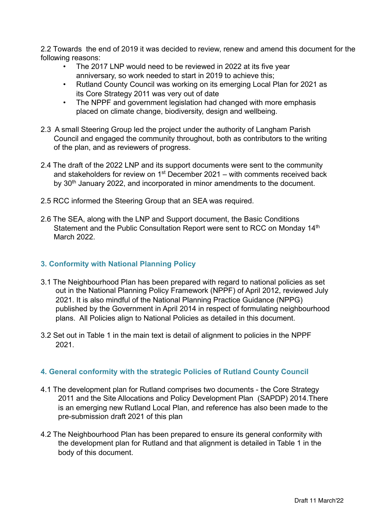2.2 Towards the end of 2019 it was decided to review, renew and amend this document for the following reasons:

- The 2017 LNP would need to be reviewed in 2022 at its five year anniversary, so work needed to start in 2019 to achieve this;
- Rutland County Council was working on its emerging Local Plan for 2021 as its Core Strategy 2011 was very out of date
- The NPPF and government legislation had changed with more emphasis placed on climate change, biodiversity, design and wellbeing.
- 2.3 A small Steering Group led the project under the authority of Langham Parish Council and engaged the community throughout, both as contributors to the writing of the plan, and as reviewers of progress.
- 2.4 The draft of the 2022 LNP and its support documents were sent to the community and stakeholders for review on  $1<sup>st</sup>$  December 2021 – with comments received back by 30<sup>th</sup> January 2022, and incorporated in minor amendments to the document.
- 2.5 RCC informed the Steering Group that an SEA was required.
- 2.6 The SEA, along with the LNP and Support document, the Basic Conditions Statement and the Public Consultation Report were sent to RCC on Monday 14<sup>th</sup> March 2022.

#### **3. Conformity with National Planning Policy**

- 3.1 The Neighbourhood Plan has been prepared with regard to national policies as set out in the National Planning Policy Framework (NPPF) of April 2012, reviewed July 2021. It is also mindful of the National Planning Practice Guidance (NPPG) published by the Government in April 2014 in respect of formulating neighbourhood plans. All Policies align to National Policies as detailed in this document.
- 3.2 Set out in Table 1 in the main text is detail of alignment to policies in the NPPF 2021.

#### **4. General conformity with the strategic Policies of Rutland County Council**

- 4.1 The development plan for Rutland comprises two documents the Core Strategy 2011 and the Site Allocations and Policy Development Plan (SAPDP) 2014.There is an emerging new Rutland Local Plan, and reference has also been made to the pre-submission draft 2021 of this plan
- 4.2 The Neighbourhood Plan has been prepared to ensure its general conformity with the development plan for Rutland and that alignment is detailed in Table 1 in the body of this document.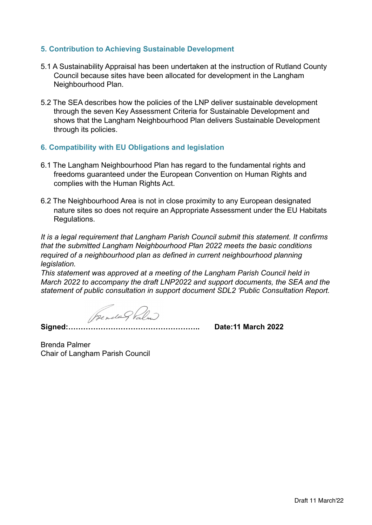#### **5. Contribution to Achieving Sustainable Development**

- 5.1 A Sustainability Appraisal has been undertaken at the instruction of Rutland County Council because sites have been allocated for development in the Langham Neighbourhood Plan.
- 5.2 The SEA describes how the policies of the LNP deliver sustainable development through the seven Key Assessment Criteria for Sustainable Development and shows that the Langham Neighbourhood Plan delivers Sustainable Development through its policies.

#### **6. Compatibility with EU Obligations and legislation**

- 6.1 The Langham Neighbourhood Plan has regard to the fundamental rights and freedoms guaranteed under the European Convention on Human Rights and complies with the Human Rights Act.
- 6.2 The Neighbourhood Area is not in close proximity to any European designated nature sites so does not require an Appropriate Assessment under the EU Habitats Regulations.

*It is a legal requirement that Langham Parish Council submit this statement. It confirms that the submitted Langham Neighbourhood Plan 2022 meets the basic conditions required of a neighbourhood plan as defined in current neighbourhood planning legislation.*

*This statement was approved at a meeting of the Langham Parish Council held in March 2022 to accompany the draft LNP2022 and support documents, the SEA and the statement of public consultation in support document SDL2 'Public Consultation Report.*

Prendes Palm

**Signed:…………………………………………….. Date:11 March 2022**

Brenda Palmer Chair of Langham Parish Council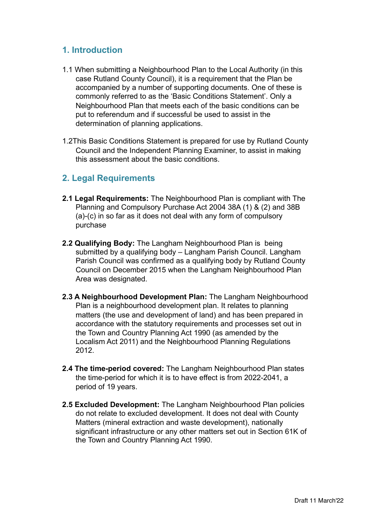## **1. Introduction**

- 1.1 When submitting a Neighbourhood Plan to the Local Authority (in this case Rutland County Council), it is a requirement that the Plan be accompanied by a number of supporting documents. One of these is commonly referred to as the 'Basic Conditions Statement'. Only a Neighbourhood Plan that meets each of the basic conditions can be put to referendum and if successful be used to assist in the determination of planning applications.
- 1.2This Basic Conditions Statement is prepared for use by Rutland County Council and the Independent Planning Examiner, to assist in making this assessment about the basic conditions.

## **2. Legal Requirements**

- **2.1 Legal Requirements:** The Neighbourhood Plan is compliant with The Planning and Compulsory Purchase Act 2004 38A (1) & (2) and 38B (a)-(c) in so far as it does not deal with any form of compulsory purchase
- **2.2 Qualifying Body:** The Langham Neighbourhood Plan is being submitted by a qualifying body – Langham Parish Council. Langham Parish Council was confirmed as a qualifying body by Rutland County Council on December 2015 when the Langham Neighbourhood Plan Area was designated.
- **2.3 A Neighbourhood Development Plan:** The Langham Neighbourhood Plan is a neighbourhood development plan. It relates to planning matters (the use and development of land) and has been prepared in accordance with the statutory requirements and processes set out in the Town and Country Planning Act 1990 (as amended by the Localism Act 2011) and the Neighbourhood Planning Regulations 2012.
- **2.4 The time-period covered:** The Langham Neighbourhood Plan states the time-period for which it is to have effect is from 2022-2041, a period of 19 years.
- **2.5 Excluded Development:** The Langham Neighbourhood Plan policies do not relate to excluded development. It does not deal with County Matters (mineral extraction and waste development), nationally significant infrastructure or any other matters set out in Section 61K of the Town and Country Planning Act 1990.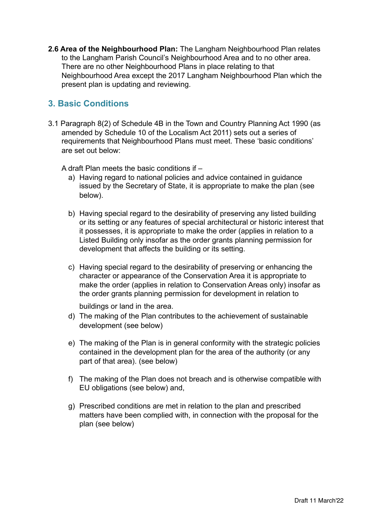**2.6 Area of the Neighbourhood Plan:** The Langham Neighbourhood Plan relates to the Langham Parish Council's Neighbourhood Area and to no other area. There are no other Neighbourhood Plans in place relating to that Neighbourhood Area except the 2017 Langham Neighbourhood Plan which the present plan is updating and reviewing.

# **3. Basic Conditions**

3.1 Paragraph 8(2) of Schedule 4B in the Town and Country Planning Act 1990 (as amended by Schedule 10 of the Localism Act 2011) sets out a series of requirements that Neighbourhood Plans must meet. These 'basic conditions' are set out below:

A draft Plan meets the basic conditions if –

- a) Having regard to national policies and advice contained in guidance issued by the Secretary of State, it is appropriate to make the plan (see below).
- b) Having special regard to the desirability of preserving any listed building or its setting or any features of special architectural or historic interest that it possesses, it is appropriate to make the order (applies in relation to a Listed Building only insofar as the order grants planning permission for development that affects the building or its setting.
- c) Having special regard to the desirability of preserving or enhancing the character or appearance of the Conservation Area it is appropriate to make the order (applies in relation to Conservation Areas only) insofar as the order grants planning permission for development in relation to

buildings or land in the area.

- d) The making of the Plan contributes to the achievement of sustainable development (see below)
- e) The making of the Plan is in general conformity with the strategic policies contained in the development plan for the area of the authority (or any part of that area). (see below)
- f) The making of the Plan does not breach and is otherwise compatible with EU obligations (see below) and,
- g) Prescribed conditions are met in relation to the plan and prescribed matters have been complied with, in connection with the proposal for the plan (see below)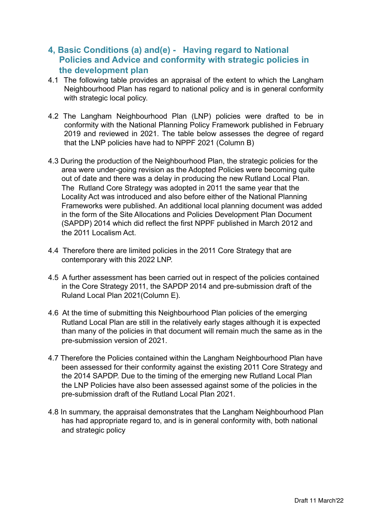## **4, Basic Conditions (a) and(e) - Having regard to National Policies and Advice and conformity with strategic policies in the development plan**

- 4.1 The following table provides an appraisal of the extent to which the Langham Neighbourhood Plan has regard to national policy and is in general conformity with strategic local policy.
- 4.2 The Langham Neighbourhood Plan (LNP) policies were drafted to be in conformity with the National Planning Policy Framework published in February 2019 and reviewed in 2021. The table below assesses the degree of regard that the LNP policies have had to NPPF 2021 (Column B)
- 4.3 During the production of the Neighbourhood Plan, the strategic policies for the area were under-going revision as the Adopted Policies were becoming quite out of date and there was a delay in producing the new Rutland Local Plan. The Rutland Core Strategy was adopted in 2011 the same year that the Locality Act was introduced and also before either of the National Planning Frameworks were published. An additional local planning document was added in the form of the Site Allocations and Policies Development Plan Document (SAPDP) 2014 which did reflect the first NPPF published in March 2012 and the 2011 Localism Act.
- 4.4 Therefore there are limited policies in the 2011 Core Strategy that are contemporary with this 2022 LNP.
- 4.5 A further assessment has been carried out in respect of the policies contained in the Core Strategy 2011, the SAPDP 2014 and pre-submission draft of the Ruland Local Plan 2021(Column E).
- 4.6 At the time of submitting this Neighbourhood Plan policies of the emerging Rutland Local Plan are still in the relatively early stages although it is expected than many of the policies in that document will remain much the same as in the pre-submission version of 2021.
- 4.7 Therefore the Policies contained within the Langham Neighbourhood Plan have been assessed for their conformity against the existing 2011 Core Strategy and the 2014 SAPDP. Due to the timing of the emerging new Rutland Local Plan the LNP Policies have also been assessed against some of the policies in the pre-submission draft of the Rutland Local Plan 2021.
- 4.8 In summary, the appraisal demonstrates that the Langham Neighbourhood Plan has had appropriate regard to, and is in general conformity with, both national and strategic policy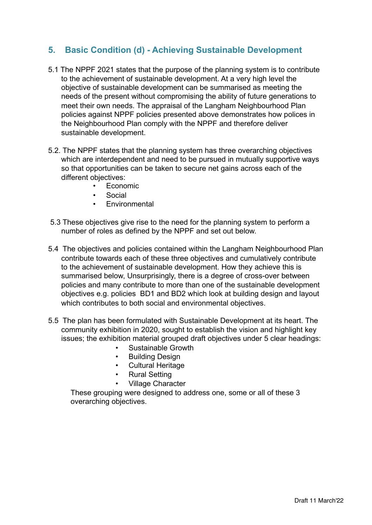# **5. Basic Condition (d) - Achieving Sustainable Development**

- 5.1 The NPPF 2021 states that the purpose of the planning system is to contribute to the achievement of sustainable development. At a very high level the objective of sustainable development can be summarised as meeting the needs of the present without compromising the ability of future generations to meet their own needs. The appraisal of the Langham Neighbourhood Plan policies against NPPF policies presented above demonstrates how polices in the Neighbourhood Plan comply with the NPPF and therefore deliver sustainable development.
- 5.2. The NPPF states that the planning system has three overarching objectives which are interdependent and need to be pursued in mutually supportive ways so that opportunities can be taken to secure net gains across each of the different objectives:
	- Economic
	- **Social**
	- **Environmental**
- 5.3 These objectives give rise to the need for the planning system to perform a number of roles as defined by the NPPF and set out below.
- 5.4 The objectives and policies contained within the Langham Neighbourhood Plan contribute towards each of these three objectives and cumulatively contribute to the achievement of sustainable development. How they achieve this is summarised below, Unsurprisingly, there is a degree of cross-over between policies and many contribute to more than one of the sustainable development objectives e.g. policies BD1 and BD2 which look at building design and layout which contributes to both social and environmental objectives.
- 5.5 The plan has been formulated with Sustainable Development at its heart. The community exhibition in 2020, sought to establish the vision and highlight key issues; the exhibition material grouped draft objectives under 5 clear headings:
	- Sustainable Growth
	- Building Design
	- Cultural Heritage
	- Rural Setting
	- Village Character

These grouping were designed to address one, some or all of these 3 overarching objectives.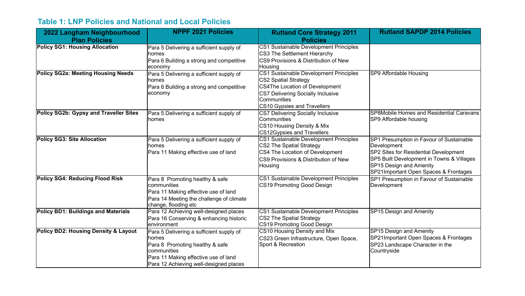# **Table 1: LNP Policies and National and Local Policies**

| 2022 Langham Neighbourhood                      | <b>NPPF 2021 Policies</b>                      | <b>Rutland Core Strategy 2011</b>                       | <b>Rutland SAPDP 2014 Policies</b>                      |
|-------------------------------------------------|------------------------------------------------|---------------------------------------------------------|---------------------------------------------------------|
| <b>Plan Policies</b>                            |                                                | <b>Policies</b>                                         |                                                         |
| <b>Policy SG1: Housing Allocation</b>           | Para 5 Delivering a sufficient supply of       | CS1 Sustainable Development Principles                  |                                                         |
|                                                 | homes                                          | CS3 The Settlement Hierarchy                            |                                                         |
|                                                 | Para 6 Building a strong and competitive       | CS9 Provisions & Distribution of New                    |                                                         |
|                                                 | economy                                        | Housing                                                 |                                                         |
| <b>Policy SG2a: Meeting Housing Needs</b>       | Para 5 Delivering a sufficient supply of       | CS1 Sustainable Development Principles                  | SP9 Affordable Housing                                  |
|                                                 | homes                                          | <b>CS2 Spatial Strategy</b>                             |                                                         |
|                                                 | Para 6 Building a strong and competitive       | <b>CS4The Location of Development</b>                   |                                                         |
|                                                 | economy                                        | <b>CS7 Delivering Socially Inclusive</b><br>Communities |                                                         |
|                                                 |                                                | <b>CS10 Gypsies and Travellers</b>                      |                                                         |
| Policy SG2b: Gypsy and Traveller Sites          | Para 5 Delivering a sufficient supply of       | <b>CS7 Delivering Socially Inclusive</b>                | SP8Mobile Homes and Residential Caravans                |
|                                                 | homes                                          | Communities                                             | SP9 Affordable housing                                  |
|                                                 |                                                | CS10 Housing Density & Mix                              |                                                         |
|                                                 |                                                | <b>CS12Gypsies and Travellers</b>                       |                                                         |
| <b>Policy SG3: Site Allocation</b>              | Para 5 Delivering a sufficient supply of       | CS1 Sustainable Development Principles                  | SP1 Presumption in Favour of Sustainable                |
|                                                 | homes                                          | <b>CS2 The Spatial Strategy</b>                         | Development                                             |
|                                                 | Para 11 Making effective use of land           | CS4 The Location of Development                         | SP2 Sites for Residential Development                   |
|                                                 |                                                | CS9 Provisions & Distribution of New                    | SP5 Built Development in Towns & Villages               |
|                                                 |                                                | Housing                                                 | SP15 Design and Amenity                                 |
| <b>Policy SG4: Reducing Flood Risk</b>          |                                                | CS1 Sustainable Development Principles                  | SP21Important Open Spaces & Frontages                   |
|                                                 | Para 8 Promoting healthy & safe<br>communities | CS19 Promoting Good Design                              | SP1 Presumption in Favour of Sustainable<br>Development |
|                                                 | Para 11 Making effective use of land           |                                                         |                                                         |
|                                                 | Para 14 Meeting the challenge of climate       |                                                         |                                                         |
|                                                 | change, flooding etc                           |                                                         |                                                         |
| <b>Policy BD1: Buildings and Materials</b>      | Para 12 Achieving well-designed places         | CS1 Sustainable Development Principles                  | <b>SP15 Design and Amenity</b>                          |
|                                                 | Para 16 Conserving & enhancing historic        | CS2 The Spatial Strategy                                |                                                         |
|                                                 | lenvironment                                   | CS19 Promoting Good Design                              |                                                         |
| <b>Policy BD2: Housing Density &amp; Layout</b> | Para 5 Delivering a sufficient supply of       | CS10 Housing Density and Mix                            | <b>SP15 Design and Amenity</b>                          |
|                                                 | homes                                          | CS23 Green Infrastructure, Open Space,                  | SP21Important Open Spaces & Frontages                   |
|                                                 | Para 8 Promoting healthy & safe                | Sport & Recreation                                      | SP23 Landscape Character in the                         |
|                                                 | communities                                    |                                                         | Countryside                                             |
|                                                 | Para 11 Making effective use of land           |                                                         |                                                         |
|                                                 | Para 12 Achieving well-designed places         |                                                         |                                                         |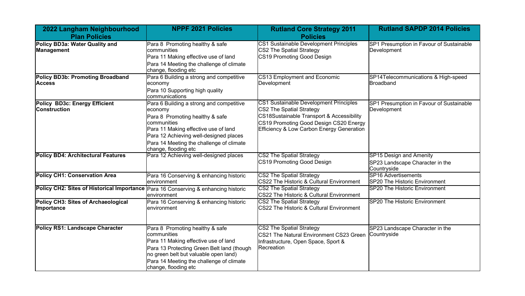| 2022 Langham Neighbourhood<br><b>Plan Policies</b>                                 | <b>NPPF 2021 Policies</b>                                                                                                                                                                                                                                   | <b>Rutland Core Strategy 2011</b><br><b>Policies</b>                                                                                                                                                              | <b>Rutland SAPDP 2014 Policies</b>                                               |
|------------------------------------------------------------------------------------|-------------------------------------------------------------------------------------------------------------------------------------------------------------------------------------------------------------------------------------------------------------|-------------------------------------------------------------------------------------------------------------------------------------------------------------------------------------------------------------------|----------------------------------------------------------------------------------|
| Policy BD3a: Water Quality and<br>Management                                       | Para 8 Promoting healthy & safe<br>communities<br>Para 11 Making effective use of land<br>Para 14 Meeting the challenge of climate<br>change, flooding etc                                                                                                  | <b>CS1 Sustainable Development Principles</b><br>CS2 The Spatial Strategy<br>CS19 Promoting Good Design                                                                                                           | SP1 Presumption in Favour of Sustainable<br>Development                          |
| Policy BD3b: Promoting Broadband<br><b>Access</b>                                  | Para 6 Building a strong and competitive<br>economy<br>Para 10 Supporting high quality<br>communications                                                                                                                                                    | <b>CS13 Employment and Economic</b><br>Development                                                                                                                                                                | SP14Telecommunications & High-speed<br><b>Broadband</b>                          |
| Policy BD3c: Energy Efficient<br> Construction                                     | Para 6 Building a strong and competitive<br>economy<br>Para 8 Promoting healthy & safe<br>communities<br>Para 11 Making effective use of land<br>Para 12 Achieving well-designed places<br>Para 14 Meeting the challenge of climate<br>change, flooding etc | CS1 Sustainable Development Principles<br>CS2 The Spatial Strategy<br><b>CS18Sustainable Transport &amp; Accessibility</b><br>CS19 Promoting Good Design CS20 Energy<br>Efficiency & Low Carbon Energy Generation | SP1 Presumption in Favour of Sustainable<br>Development                          |
| <b>Policy BD4: Architectural Features</b>                                          | Para 12 Achieving well-designed places                                                                                                                                                                                                                      | <b>CS2 The Spatial Strategy</b><br>CS19 Promoting Good Design                                                                                                                                                     | <b>SP15 Design and Amenity</b><br>SP23 Landscape Character in the<br>Countryside |
| <b>Policy CH1: Conservation Area</b>                                               | Para 16 Conserving & enhancing historic<br>lenvironment                                                                                                                                                                                                     | <b>CS2 The Spatial Strategy</b><br>CS22 The Historic & Cultural Environment                                                                                                                                       | <b>SP16 Advertisements</b><br>SP20 The Historic Environment                      |
| Policy CH2: Sites of Historical Importance Para 16 Conserving & enhancing historic | lenvironment                                                                                                                                                                                                                                                | <b>CS2 The Spatial Strategy</b><br>CS22 The Historic & Cultural Environment                                                                                                                                       | SP20 The Historic Environment                                                    |
| Policy CH3: Sites of Archaeological<br><b>Importance</b>                           | Para 16 Conserving & enhancing historic<br>lenvironment                                                                                                                                                                                                     | <b>CS2 The Spatial Strategy</b><br>CS22 The Historic & Cultural Environment                                                                                                                                       | SP20 The Historic Environment                                                    |
| <b>Policy RS1: Landscape Character</b>                                             | Para 8 Promoting healthy & safe<br>communities<br>Para 11 Making effective use of land<br>Para 13 Protecting Green Belt land (though<br>no green belt but valuable open land)<br>Para 14 Meeting the challenge of climate<br>change, flooding etc           | <b>CS2 The Spatial Strategy</b><br>CS21 The Natural Environment CS23 Green<br>Infrastructure, Open Space, Sport &<br>Recreation                                                                                   | SP23 Landscape Character in the<br>Countryside                                   |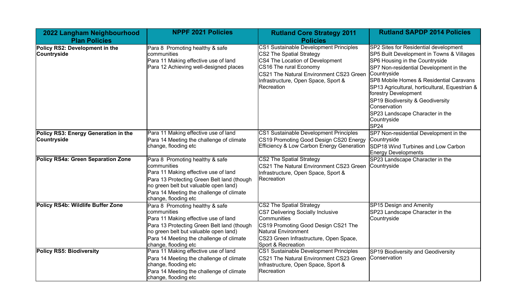| 2022 Langham Neighbourhood                           | <b>NPPF 2021 Policies</b>                                                                                                                                                                                                                         | <b>Rutland Core Strategy 2011</b>                                                                                                                                                                                               | <b>Rutland SAPDP 2014 Policies</b>                                                                                                                                                                                                                                                                                                                                                                                           |
|------------------------------------------------------|---------------------------------------------------------------------------------------------------------------------------------------------------------------------------------------------------------------------------------------------------|---------------------------------------------------------------------------------------------------------------------------------------------------------------------------------------------------------------------------------|------------------------------------------------------------------------------------------------------------------------------------------------------------------------------------------------------------------------------------------------------------------------------------------------------------------------------------------------------------------------------------------------------------------------------|
| <b>Plan Policies</b>                                 |                                                                                                                                                                                                                                                   | <b>Policies</b>                                                                                                                                                                                                                 |                                                                                                                                                                                                                                                                                                                                                                                                                              |
| Policy RS2: Development in the<br><b>Countryside</b> | Para 8 Promoting healthy & safe<br>communities<br>Para 11 Making effective use of land<br>Para 12 Achieving well-designed places                                                                                                                  | CS1 Sustainable Development Principles<br>CS2 The Spatial Strategy<br>CS4 The Location of Development<br>CS16 The rural Economy<br>CS21 The Natural Environment CS23 Green<br>Infrastructure, Open Space, Sport &<br>Recreation | SP2 Sites for Residential development<br>SP5 Built Development in Towns & Villages<br>SP6 Housing in the Countryside<br>SP7 Non-residential Development in the<br>Countryside<br>SP8 Mobile Homes & Residential Caravans<br>SP13 Agricultural, horticultural, Equestrian &<br>forestry Development<br>SP19 Biodiversity & Geodiversity<br>Conservation<br>SP23 Landscape Character in the<br>Countryside<br>SP <sub>24</sub> |
| Policy RS3: Energy Generation in the<br>Countryside  | Para 11 Making effective use of land<br>Para 14 Meeting the challenge of climate<br>change, flooding etc                                                                                                                                          | CS1 Sustainable Development Principles<br>CS19 Promoting Good Design CS20 Energy<br>Efficiency & Low Carbon Energy Generation                                                                                                   | SP7 Non-residential Development in the<br>Countryside<br>SDP18 Wind Turbines and Low Carbon<br><b>Energy Developments</b>                                                                                                                                                                                                                                                                                                    |
| <b>Policy RS4a: Green Separation Zone</b>            | Para 8 Promoting healthy & safe<br>communities<br>Para 11 Making effective use of land<br>Para 13 Protecting Green Belt land (though<br>no green belt but valuable open land)<br>Para 14 Meeting the challenge of climate<br>change, flooding etc | <b>CS2 The Spatial Strategy</b><br>CS21 The Natural Environment CS23 Green<br>Infrastructure, Open Space, Sport &<br>Recreation                                                                                                 | SP23 Landscape Character in the<br>Countryside                                                                                                                                                                                                                                                                                                                                                                               |
| Policy RS4b: Wildlife Buffer Zone                    | Para 8 Promoting healthy & safe<br>communities<br>Para 11 Making effective use of land<br>Para 13 Protecting Green Belt land (though<br>no green belt but valuable open land)<br>Para 14 Meeting the challenge of climate<br>change, flooding etc | <b>CS2 The Spatial Strategy</b><br>CS7 Delivering Socially Inclusive<br>Communities<br>CS19 Promoting Good Design CS21 The<br>Natural Environment<br>CS23 Green Infrastructure, Open Space,<br>Sport & Recreation               | <b>SP15 Design and Amenity</b><br>SP23 Landscape Character in the<br>Countryside                                                                                                                                                                                                                                                                                                                                             |
| <b>Policy RS5: Biodiversity</b>                      | Para 11 Making effective use of land<br>Para 14 Meeting the challenge of climate<br>change, flooding etc<br>Para 14 Meeting the challenge of climate<br>change, flooding etc                                                                      | CS1 Sustainable Development Principles<br>CS21 The Natural Environment CS23 Green<br>Infrastructure, Open Space, Sport &<br>Recreation                                                                                          | SP19 Biodiversity and Geodiversity<br>Conservation                                                                                                                                                                                                                                                                                                                                                                           |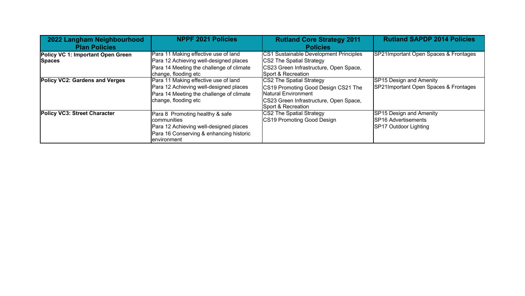| 2022 Langham Neighbourhood            | <b>NPPF 2021 Policies</b>                | <b>Rutland Core Strategy 2011</b>      | <b>Rutland SAPDP 2014 Policies</b>    |
|---------------------------------------|------------------------------------------|----------------------------------------|---------------------------------------|
| <b>Plan Policies</b>                  |                                          | <b>Policies</b>                        |                                       |
| Policy VC 1: Important Open Green     | Para 11 Making effective use of land     | CS1 Sustainable Development Principles | SP21Important Open Spaces & Frontages |
| <b>Spaces</b>                         | Para 12 Achieving well-designed places   | <b>CS2 The Spatial Strategy</b>        |                                       |
|                                       | Para 14 Meeting the challenge of climate | CS23 Green Infrastructure, Open Space, |                                       |
|                                       | change, flooding etc                     | Sport & Recreation                     |                                       |
| <b>Policy VC2: Gardens and Verges</b> | Para 11 Making effective use of land     | CS2 The Spatial Strategy               | <b>SP15 Design and Amenity</b>        |
|                                       | Para 12 Achieving well-designed places   | CS19 Promoting Good Design CS21 The    | SP21Important Open Spaces & Frontages |
|                                       | Para 14 Meeting the challenge of climate | <b>Natural Environment</b>             |                                       |
|                                       | change, flooding etc                     | CS23 Green Infrastructure, Open Space, |                                       |
|                                       |                                          | Sport & Recreation                     |                                       |
| Policy VC3: Street Character          | Para 8 Promoting healthy & safe          | CS2 The Spatial Strategy               | SP15 Design and Amenity               |
|                                       | <b>Icommunities</b>                      | CS19 Promoting Good Design             | SP16 Advertisements                   |
|                                       | Para 12 Achieving well-designed places   |                                        | SP17 Outdoor Lighting                 |
|                                       | Para 16 Conserving & enhancing historic  |                                        |                                       |
|                                       | lenvironment                             |                                        |                                       |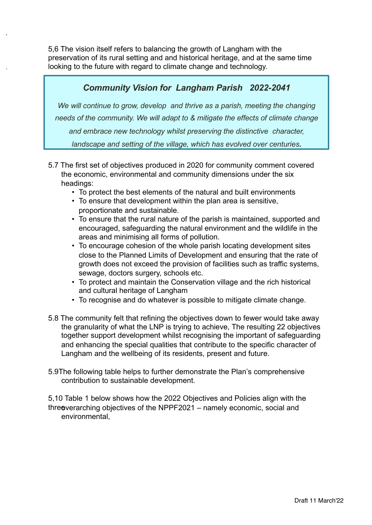5,6 The vision itself refers to balancing the growth of Langham with the preservation of its rural setting and and historical heritage, and at the same time looking to the future with regard to climate change and technology.

# *Community Vision for Langham Parish 2022-2041*

We will continue to grow, develop and thrive as a parish, meeting the changing *needs of the community. We will adapt to & mitigate the effects of climate change and embrace new technology whilst preserving the distinctive character, landscape and setting of the village, which has evolved over centuries.*

- 5.7 The first set of objectives produced in 2020 for community comment covered the economic, environmental and community dimensions under the six headings:
	- To protect the best elements of the natural and built environments
	- To ensure that development within the plan area is sensitive, proportionate and sustainable.
	- To ensure that the rural nature of the parish is maintained, supported and encouraged, safeguarding the natural environment and the wildlife in the areas and minimising all forms of pollution.
	- To encourage cohesion of the whole parish locating development sites close to the Planned Limits of Development and ensuring that the rate of growth does not exceed the provision of facilities such as traffic systems, sewage, doctors surgery, schools etc.
	- To protect and maintain the Conservation village and the rich historical and cultural heritage of Langham
	- To recognise and do whatever is possible to mitigate climate change.
- 5.8 The community felt that refining the objectives down to fewer would take away the granularity of what the LNP is trying to achieve, The resulting 22 objectives together support development whilst recognising the important of safeguarding and enhancing the special qualities that contribute to the specific character of Langham and the wellbeing of its residents, present and future.
- 5.9The following table helps to further demonstrate the Plan's comprehensive contribution to sustainable development.

5,10 Table 1 below shows how the 2022 Objectives and Policies align with the three verarching objectives of the NPPF2021 – namely economic, social and environmental,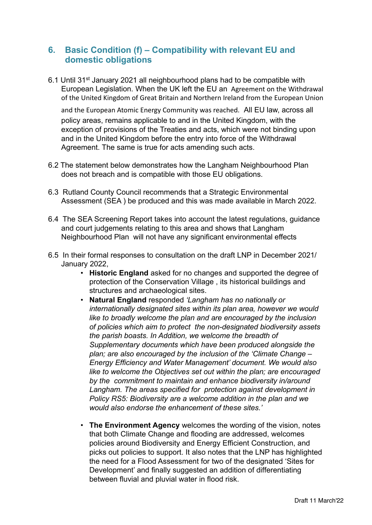## **6. Basic Condition (f) – Compatibility with relevant EU and domestic obligations**

6.1 Until 31st January 2021 all neighbourhood plans had to be compatible with European Legislation. When the UK left the EU an Agreement on the Withdrawal of the United Kingdom of Great Britain and Northern Ireland from the European Union

and the European Atomic Energy Community was reached. All EU law, across all policy areas, remains applicable to and in the United Kingdom, with the exception of provisions of the Treaties and acts, which were not binding upon and in the United Kingdom before the entry into force of the Withdrawal Agreement. The same is true for acts amending such acts.

- 6.2 The statement below demonstrates how the Langham Neighbourhood Plan does not breach and is compatible with those EU obligations.
- 6.3 Rutland County Council recommends that a Strategic Environmental Assessment (SEA ) be produced and this was made available in March 2022.
- 6.4 The SEA Screening Report takes into account the latest regulations, guidance and court judgements relating to this area and shows that Langham Neighbourhood Plan will not have any significant environmental effects
- 6.5 In their formal responses to consultation on the draft LNP in December 2021/ January 2022,
	- **Historic England** asked for no changes and supported the degree of protection of the Conservation Village , its historical buildings and structures and archaeological sites.
	- **Natural England** responded *'Langham has no nationally or internationally designated sites within its plan area, however we would like to broadly welcome the plan and are encouraged by the inclusion of policies which aim to protect the non-designated biodiversity assets the parish boasts. In Addition, we welcome the breadth of Supplementary documents which have been produced alongside the plan; are also encouraged by the inclusion of the 'Climate Change – Energy Efficiency and Water Management' document. We would also like to welcome the Objectives set out within the plan; are encouraged by the commitment to maintain and enhance biodiversity in/around Langham. The areas specified for protection against development in Policy RS5: Biodiversity are a welcome addition in the plan and we would also endorse the enhancement of these sites.'*
	- **The Environment Agency** welcomes the wording of the vision, notes that both Climate Change and flooding are addressed, welcomes policies around Biodiversity and Energy Efficient Construction, and picks out policies to support. It also notes that the LNP has highlighted the need for a Flood Assessment for two of the designated 'Sites for Development' and finally suggested an addition of differentiating between fluvial and pluvial water in flood risk.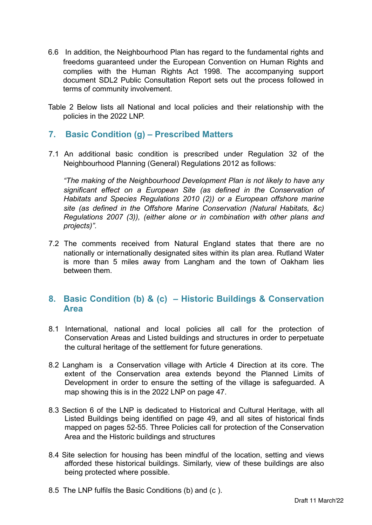- 6.6 In addition, the Neighbourhood Plan has regard to the fundamental rights and freedoms guaranteed under the European Convention on Human Rights and complies with the Human Rights Act 1998. The accompanying support document SDL2 Public Consultation Report sets out the process followed in terms of community involvement.
- Table 2 Below lists all National and local policies and their relationship with the policies in the 2022 LNP.

## **7. Basic Condition (g) – Prescribed Matters**

7.1 An additional basic condition is prescribed under Regulation 32 of the Neighbourhood Planning (General) Regulations 2012 as follows:

*"The making of the Neighbourhood Development Plan is not likely to have any significant effect on a European Site (as defined in the Conservation of Habitats and Species Regulations 2010 (2)) or a European offshore marine site (as defined in the Offshore Marine Conservation (Natural Habitats, &c) Regulations 2007 (3)), (either alone or in combination with other plans and projects)".*

7.2 The comments received from Natural England states that there are no nationally or internationally designated sites within its plan area. Rutland Water is more than 5 miles away from Langham and the town of Oakham lies between them.

## **8. Basic Condition (b) & (c) – Historic Buildings & Conservation Area**

- 8.1 International, national and local policies all call for the protection of Conservation Areas and Listed buildings and structures in order to perpetuate the cultural heritage of the settlement for future generations.
- 8.2 Langham is a Conservation village with Article 4 Direction at its core. The extent of the Conservation area extends beyond the Planned Limits of Development in order to ensure the setting of the village is safeguarded. A map showing this is in the 2022 LNP on page 47.
- 8.3 Section 6 of the LNP is dedicated to Historical and Cultural Heritage, with all Listed Buildings being identified on page 49, and all sites of historical finds mapped on pages 52-55. Three Policies call for protection of the Conservation Area and the Historic buildings and structures
- 8.4 Site selection for housing has been mindful of the location, setting and views afforded these historical buildings. Similarly, view of these buildings are also being protected where possible.
- 8.5 The LNP fulfils the Basic Conditions (b) and (c ).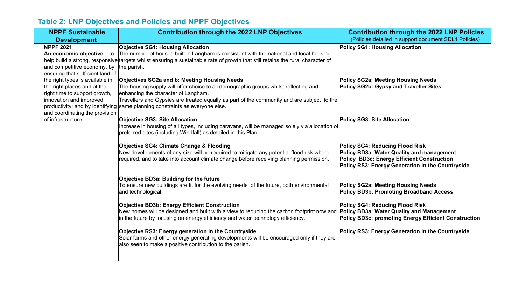# **Table 2: LNP Objectives and Policies and NPPF Objectives**

| <b>NPPF Sustainable</b>                                                                                                                                      | <b>Contribution through the 2022 LNP Objectives</b>                                                                                                                                                                                                                                                                                                       | <b>Contribution through the 2022 LNP Policies</b>                                                                                                                                            |
|--------------------------------------------------------------------------------------------------------------------------------------------------------------|-----------------------------------------------------------------------------------------------------------------------------------------------------------------------------------------------------------------------------------------------------------------------------------------------------------------------------------------------------------|----------------------------------------------------------------------------------------------------------------------------------------------------------------------------------------------|
| <b>Development</b>                                                                                                                                           |                                                                                                                                                                                                                                                                                                                                                           | (Policies detailed in support document SDL1 Policies)                                                                                                                                        |
| <b>NPPF 2021</b><br>An economic objective - to<br>and competitive economy, by<br>ensuring that sufficient land of                                            | <b>Objective SG1: Housing Allocation</b><br>The number of houses built in Langham is consistent with the national and local housing<br>help build a strong, responsive targets whilst ensuring a sustainable rate of growth that still retains the rural character of<br>the parish.                                                                      | Policy SG1: Housing Allocation                                                                                                                                                               |
| the right types is available in<br>the right places and at the<br>right time to support growth,<br>innovation and improved<br>and coordinating the provision | Objectives SG2a and b: Meeting Housing Needs<br>The housing supply will offer choice to all demographic groups whilst reflecting and<br>enhancing the character of Langham.<br>Travellers and Gypsies are treated equally as part of the community and are subject to the<br>productivity; and by identifying same planning constraints as everyone else. | Policy SG2a: Meeting Housing Needs<br>Policy SG2b: Gypsy and Traveller Sites                                                                                                                 |
| of infrastructure                                                                                                                                            | <b>Objective SG3: Site Allocation</b><br>Increase in housing of all types, including caravans, will be managed solely via allocation of<br>preferred sites (including Windfall) as detailed in this Plan.                                                                                                                                                 | Policy SG3: Site Allocation                                                                                                                                                                  |
|                                                                                                                                                              | Objective SG4: Climate Change & Flooding<br>New developments of any size will be required to mitigate any potential flood risk where<br>required, and to take into account climate change before receiving planning permission.                                                                                                                           | <b>Policy SG4: Reducing Flood Risk</b><br>Policy BD3a: Water Quality and management<br><b>Policy BD3c: Energy Efficient Construction</b><br>Policy RS3: Energy Generation in the Countryside |
|                                                                                                                                                              | Objective BD3a: Building for the future<br>To ensure new buildings are fit for the evolving needs of the future, both environmental<br>and technological.                                                                                                                                                                                                 | <b>Policy SG2a: Meeting Housing Needs</b><br><b>Policy BD3b: Promoting Broadband Access</b>                                                                                                  |
|                                                                                                                                                              | <b>Objective BD3b: Energy Efficient Construction</b><br>New homes will be designed and built with a view to reducing the carbon footprint now and <b>Policy BD3a: Water Quality and Management</b><br>in the future by focusing on energy efficiency and water technology efficiency.                                                                     | Policy SG4: Reducing Flood Risk<br><b>Policy BD3c: promoting Energy Efficient Construction</b>                                                                                               |
|                                                                                                                                                              | Objective RS3: Energy generation in the Countryside<br>Solar farms and other energy generating developments will be encouraged only if they are<br>also seen to make a positive contribution to the parish.                                                                                                                                               | Policy RS3: Energy Generation in the Countryside                                                                                                                                             |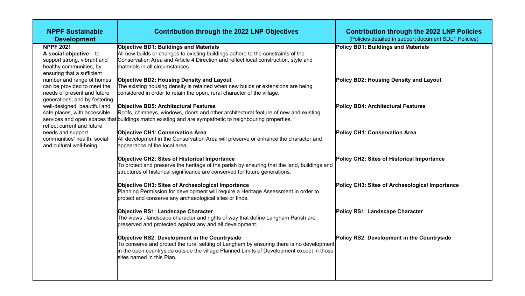| <b>Contribution through the 2022 LNP Policies</b><br>(Policies detailed in support document SDL1 Policies) |
|------------------------------------------------------------------------------------------------------------|
| Policy BD1: Buildings and Materials                                                                        |
| Policy BD2: Housing Density and Layout                                                                     |
| Policy BD4: Architectural Features                                                                         |
| Policy CH1: Conservation Area                                                                              |
| Policy CH2: Sites of Historical Importance                                                                 |
| Policy CH3: Sites of Archaeological Importance                                                             |
| Policy RS1: Landscape Character                                                                            |
| Policy RS2: Development in the Countryside                                                                 |
|                                                                                                            |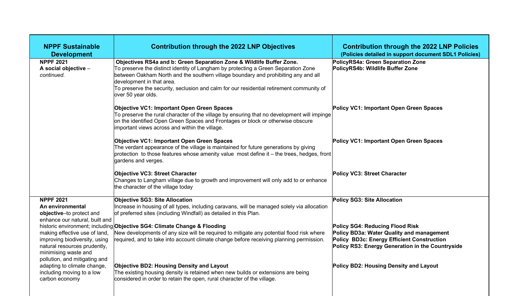| <b>NPPF Sustainable</b><br><b>Development</b>                                                                                                           | <b>Contribution through the 2022 LNP Objectives</b>                                                                                                                                                                                                                                                                                                                                             | <b>Contribution through the 2022 LNP Policies</b><br>(Policies detailed in support document SDL1 Policies)                                  |
|---------------------------------------------------------------------------------------------------------------------------------------------------------|-------------------------------------------------------------------------------------------------------------------------------------------------------------------------------------------------------------------------------------------------------------------------------------------------------------------------------------------------------------------------------------------------|---------------------------------------------------------------------------------------------------------------------------------------------|
| <b>NPPF 2021</b><br>A social objective -<br>continued.                                                                                                  | Objectives RS4a and b: Green Separation Zone & Wildlife Buffer Zone.<br>To preserve the distinct identity of Langham by protecting a Green Separation Zone<br>between Oakham North and the southern village boundary and prohibiting any and all<br>development in that area.<br>To preserve the security, seclusion and calm for our residential retirement community of<br>over 50 year olds. | PolicyRS4a: Green Separation Zone<br>PolicyRS4b: Wildlife Buffer Zone                                                                       |
|                                                                                                                                                         | <b>Objective VC1: Important Open Green Spaces</b><br>To preserve the rural character of the village by ensuring that no development will impinge<br>on the identified Open Green Spaces and Frontages or block or otherwise obscure<br>important views across and within the village.                                                                                                           | Policy VC1: Important Open Green Spaces                                                                                                     |
|                                                                                                                                                         | <b>Objective VC1: Important Open Green Spaces</b><br>The verdant appearance of the village is maintained for future generations by giving<br>protection to those features whose amenity value most define it - the trees, hedges, front<br>gardens and verges.                                                                                                                                  | Policy VC1: Important Open Green Spaces                                                                                                     |
|                                                                                                                                                         | <b>Objective VC3: Street Character</b><br>Changes to Langham village due to growth and improvement will only add to or enhance<br>the character of the village today                                                                                                                                                                                                                            | Policy VC3: Street Character                                                                                                                |
| <b>NPPF 2021</b>                                                                                                                                        | <b>Objective SG3: Site Allocation</b>                                                                                                                                                                                                                                                                                                                                                           | Policy SG3: Site Allocation                                                                                                                 |
| An environmental<br>objective-to protect and<br>enhance our natural, built and                                                                          | Increase in housing of all types, including caravans, will be managed solely via allocation<br>of preferred sites (including Windfall) as detailed in this Plan.                                                                                                                                                                                                                                |                                                                                                                                             |
|                                                                                                                                                         | historic environment; including Objective SG4: Climate Change & Flooding                                                                                                                                                                                                                                                                                                                        | Policy SG4: Reducing Flood Risk                                                                                                             |
| making effective use of land,<br>improving biodiversity, using<br>natural resources prudently,<br>minimising waste and<br>pollution, and mitigating and | New developments of any size will be required to mitigate any potential flood risk where<br>required, and to take into account climate change before receiving planning permission.                                                                                                                                                                                                             | Policy BD3a: Water Quality and management<br>Policy BD3c: Energy Efficient Construction<br>Policy RS3: Energy Generation in the Countryside |
| adapting to climate change,<br>including moving to a low<br>carbon economy                                                                              | <b>Objective BD2: Housing Density and Layout</b><br>The existing housing density is retained when new builds or extensions are being<br>considered in order to retain the open, rural character of the village.                                                                                                                                                                                 | Policy BD2: Housing Density and Layout                                                                                                      |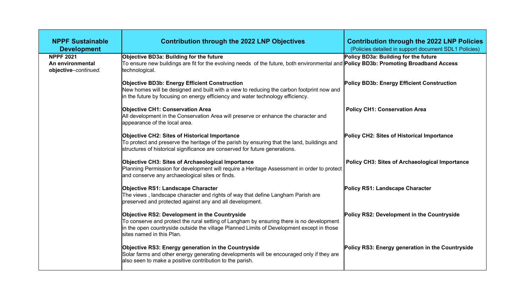| <b>NPPF Sustainable</b><br><b>Development</b>                | <b>Contribution through the 2022 LNP Objectives</b>                                                                                                                                                                                                                        | <b>Contribution through the 2022 LNP Policies</b><br>(Policies detailed in support document SDL1 Policies) |
|--------------------------------------------------------------|----------------------------------------------------------------------------------------------------------------------------------------------------------------------------------------------------------------------------------------------------------------------------|------------------------------------------------------------------------------------------------------------|
| <b>NPPF 2021</b><br>An environmental<br>objective-continued. | Objective BD3a: Building for the future<br>To ensure new buildings are fit for the evolving needs of the future, both environmental and <b>Policy BD3b: Promoting Broadband Access</b><br>technological.                                                                   | Policy BD3a: Building for the future                                                                       |
|                                                              | <b>Objective BD3b: Energy Efficient Construction</b><br>New homes will be designed and built with a view to reducing the carbon footprint now and<br>in the future by focusing on energy efficiency and water technology efficiency.                                       | Policy BD3b: Energy Efficient Construction                                                                 |
|                                                              | <b>Objective CH1: Conservation Area</b><br>All development in the Conservation Area will preserve or enhance the character and<br>appearance of the local area.                                                                                                            | <b>Policy CH1: Conservation Area</b>                                                                       |
|                                                              | <b>Objective CH2: Sites of Historical Importance</b><br>To protect and preserve the heritage of the parish by ensuring that the land, buildings and<br>structures of historical significance are conserved for future generations.                                         | Policy CH2: Sites of Historical Importance                                                                 |
|                                                              | Objective CH3: Sites of Archaeological Importance<br>Planning Permission for development will require a Heritage Assessment in order to protect<br>and conserve any archaeological sites or finds.                                                                         | <b>Policy CH3: Sites of Archaeological Importance</b>                                                      |
|                                                              | <b>Objective RS1: Landscape Character</b><br>The views, landscape character and rights of way that define Langham Parish are<br>preserved and protected against any and all development.                                                                                   | Policy RS1: Landscape Character                                                                            |
|                                                              | <b>Objective RS2: Development in the Countryside</b><br>To conserve and protect the rural setting of Langham by ensuring there is no development<br>in the open countryside outside the village Planned Limits of Development except in those<br>sites named in this Plan. | Policy RS2: Development in the Countryside                                                                 |
|                                                              | Objective RS3: Energy generation in the Countryside<br>Solar farms and other energy generating developments will be encouraged only if they are<br>also seen to make a positive contribution to the parish.                                                                | Policy RS3: Energy generation in the Countryside                                                           |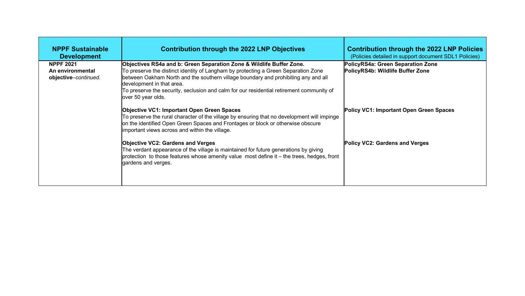| <b>NPPF Sustainable</b><br><b>Development</b>                | <b>Contribution through the 2022 LNP Objectives</b>                                                                                                                                                                                                                                                                                                                                             | <b>Contribution through the 2022 LNP Policies</b><br>(Policies detailed in support document SDL1 Policies) |
|--------------------------------------------------------------|-------------------------------------------------------------------------------------------------------------------------------------------------------------------------------------------------------------------------------------------------------------------------------------------------------------------------------------------------------------------------------------------------|------------------------------------------------------------------------------------------------------------|
| <b>NPPF 2021</b><br>An environmental<br>objective-continued. | Objectives RS4a and b: Green Separation Zone & Wildlife Buffer Zone.<br>To preserve the distinct identity of Langham by protecting a Green Separation Zone<br>between Oakham North and the southern village boundary and prohibiting any and all<br>development in that area.<br>To preserve the security, seclusion and calm for our residential retirement community of<br>over 50 year olds. | PolicyRS4a: Green Separation Zone<br>PolicyRS4b: Wildlife Buffer Zone                                      |
|                                                              | <b>Objective VC1: Important Open Green Spaces</b><br>To preserve the rural character of the village by ensuring that no development will impinge<br>on the identified Open Green Spaces and Frontages or block or otherwise obscure<br>important views across and within the village.                                                                                                           | Policy VC1: Important Open Green Spaces                                                                    |
|                                                              | <b>Objective VC2: Gardens and Verges</b><br>The verdant appearance of the village is maintained for future generations by giving<br>protection to those features whose amenity value most define it - the trees, hedges, front<br>gardens and verges.                                                                                                                                           | Policy VC2: Gardens and Verges                                                                             |